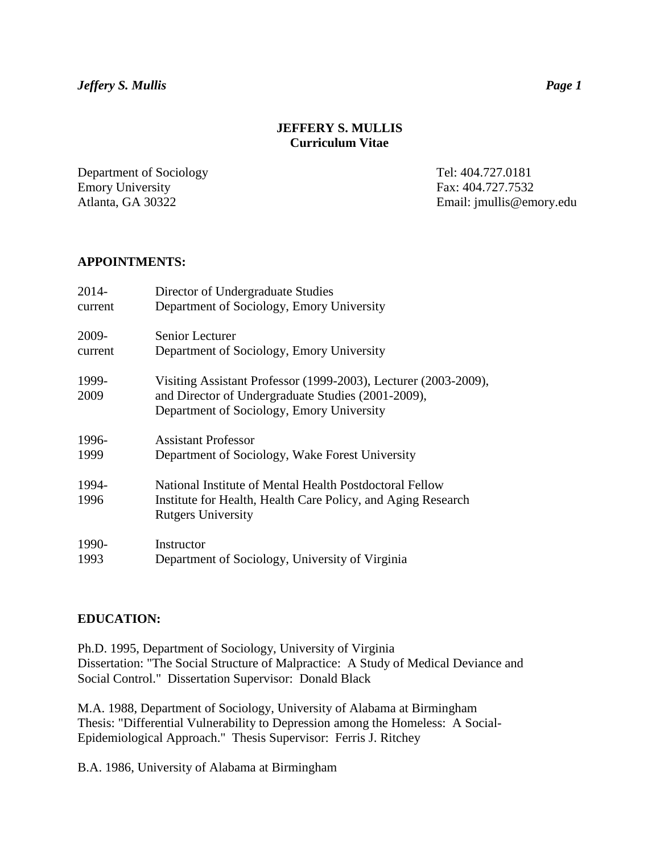# **JEFFERY S. MULLIS Curriculum Vitae**

Department of Sociology Tel: 404.727.0181 Emory University Fax: 404.727.7532

Atlanta, GA 30322 Email: jmullis@emory.edu

#### **APPOINTMENTS:**

| 2014-   | Director of Undergraduate Studies                               |
|---------|-----------------------------------------------------------------|
| current | Department of Sociology, Emory University                       |
| 2009-   | Senior Lecturer                                                 |
| current | Department of Sociology, Emory University                       |
| 1999-   | Visiting Assistant Professor (1999-2003), Lecturer (2003-2009), |
| 2009    | and Director of Undergraduate Studies (2001-2009),              |
|         | Department of Sociology, Emory University                       |
| 1996-   | <b>Assistant Professor</b>                                      |
| 1999    | Department of Sociology, Wake Forest University                 |
| 1994-   | National Institute of Mental Health Postdoctoral Fellow         |
| 1996    | Institute for Health, Health Care Policy, and Aging Research    |
|         | <b>Rutgers University</b>                                       |
| 1990-   | Instructor                                                      |
| 1993    | Department of Sociology, University of Virginia                 |

#### **EDUCATION:**

Ph.D. 1995, Department of Sociology, University of Virginia Dissertation: "The Social Structure of Malpractice: A Study of Medical Deviance and Social Control." Dissertation Supervisor: Donald Black

M.A. 1988, Department of Sociology, University of Alabama at Birmingham Thesis: "Differential Vulnerability to Depression among the Homeless: A Social-Epidemiological Approach." Thesis Supervisor: Ferris J. Ritchey

B.A. 1986, University of Alabama at Birmingham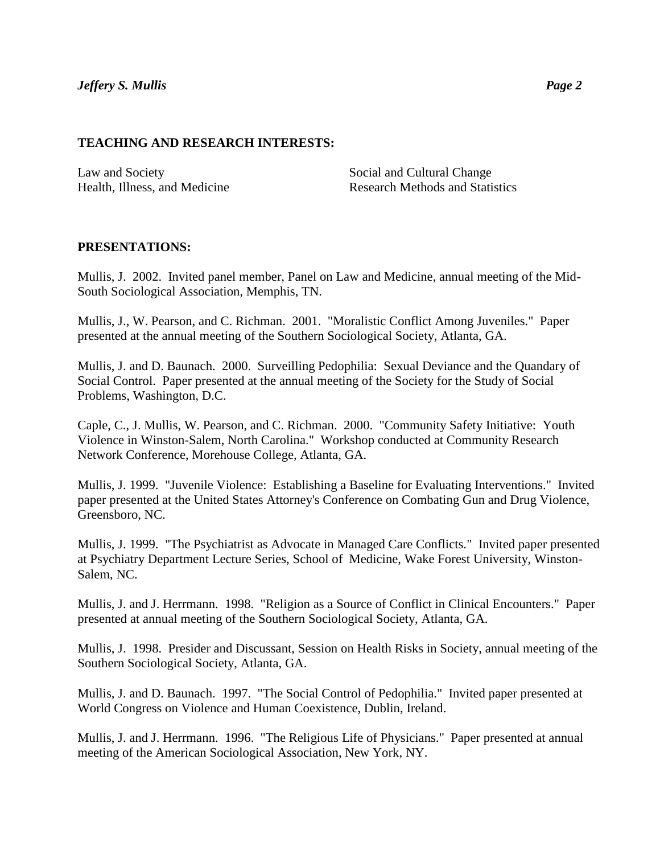#### **TEACHING AND RESEARCH INTERESTS:**

Law and Society Social and Cultural Change

Health, Illness, and Medicine **Research Methods and Statistics** Research Methods and Statistics

## **PRESENTATIONS:**

Mullis, J. 2002. Invited panel member, Panel on Law and Medicine, annual meeting of the Mid-South Sociological Association, Memphis, TN.

Mullis, J., W. Pearson, and C. Richman. 2001. "Moralistic Conflict Among Juveniles." Paper presented at the annual meeting of the Southern Sociological Society, Atlanta, GA.

Mullis, J. and D. Baunach. 2000. Surveilling Pedophilia: Sexual Deviance and the Quandary of Social Control. Paper presented at the annual meeting of the Society for the Study of Social Problems, Washington, D.C.

Caple, C., J. Mullis, W. Pearson, and C. Richman. 2000. "Community Safety Initiative: Youth Violence in Winston-Salem, North Carolina." Workshop conducted at Community Research Network Conference, Morehouse College, Atlanta, GA.

Mullis, J. 1999. "Juvenile Violence: Establishing a Baseline for Evaluating Interventions." Invited paper presented at the United States Attorney's Conference on Combating Gun and Drug Violence, Greensboro, NC.

Mullis, J. 1999. "The Psychiatrist as Advocate in Managed Care Conflicts." Invited paper presented at Psychiatry Department Lecture Series, School of Medicine, Wake Forest University, Winston-Salem, NC.

Mullis, J. and J. Herrmann. 1998. "Religion as a Source of Conflict in Clinical Encounters." Paper presented at annual meeting of the Southern Sociological Society, Atlanta, GA.

Mullis, J. 1998. Presider and Discussant, Session on Health Risks in Society, annual meeting of the Southern Sociological Society, Atlanta, GA.

Mullis, J. and D. Baunach. 1997. "The Social Control of Pedophilia." Invited paper presented at World Congress on Violence and Human Coexistence, Dublin, Ireland.

Mullis, J. and J. Herrmann. 1996. "The Religious Life of Physicians." Paper presented at annual meeting of the American Sociological Association, New York, NY.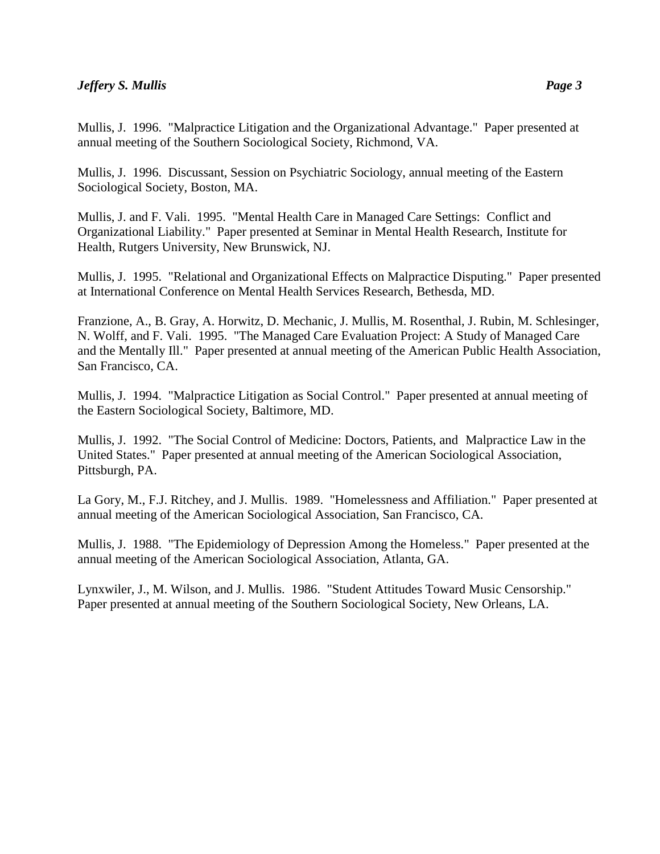Mullis, J. 1996. "Malpractice Litigation and the Organizational Advantage." Paper presented at annual meeting of the Southern Sociological Society, Richmond, VA.

Mullis, J. 1996. Discussant, Session on Psychiatric Sociology, annual meeting of the Eastern Sociological Society, Boston, MA.

Mullis, J. and F. Vali. 1995. "Mental Health Care in Managed Care Settings: Conflict and Organizational Liability." Paper presented at Seminar in Mental Health Research, Institute for Health, Rutgers University, New Brunswick, NJ.

Mullis, J. 1995. "Relational and Organizational Effects on Malpractice Disputing." Paper presented at International Conference on Mental Health Services Research, Bethesda, MD.

Franzione, A., B. Gray, A. Horwitz, D. Mechanic, J. Mullis, M. Rosenthal, J. Rubin, M. Schlesinger, N. Wolff, and F. Vali. 1995. "The Managed Care Evaluation Project: A Study of Managed Care and the Mentally Ill." Paper presented at annual meeting of the American Public Health Association, San Francisco, CA.

Mullis, J. 1994. "Malpractice Litigation as Social Control." Paper presented at annual meeting of the Eastern Sociological Society, Baltimore, MD.

Mullis, J. 1992. "The Social Control of Medicine: Doctors, Patients, and Malpractice Law in the United States." Paper presented at annual meeting of the American Sociological Association, Pittsburgh, PA.

La Gory, M., F.J. Ritchey, and J. Mullis. 1989. "Homelessness and Affiliation." Paper presented at annual meeting of the American Sociological Association, San Francisco, CA.

Mullis, J. 1988. "The Epidemiology of Depression Among the Homeless." Paper presented at the annual meeting of the American Sociological Association, Atlanta, GA.

Lynxwiler, J., M. Wilson, and J. Mullis. 1986. "Student Attitudes Toward Music Censorship." Paper presented at annual meeting of the Southern Sociological Society, New Orleans, LA.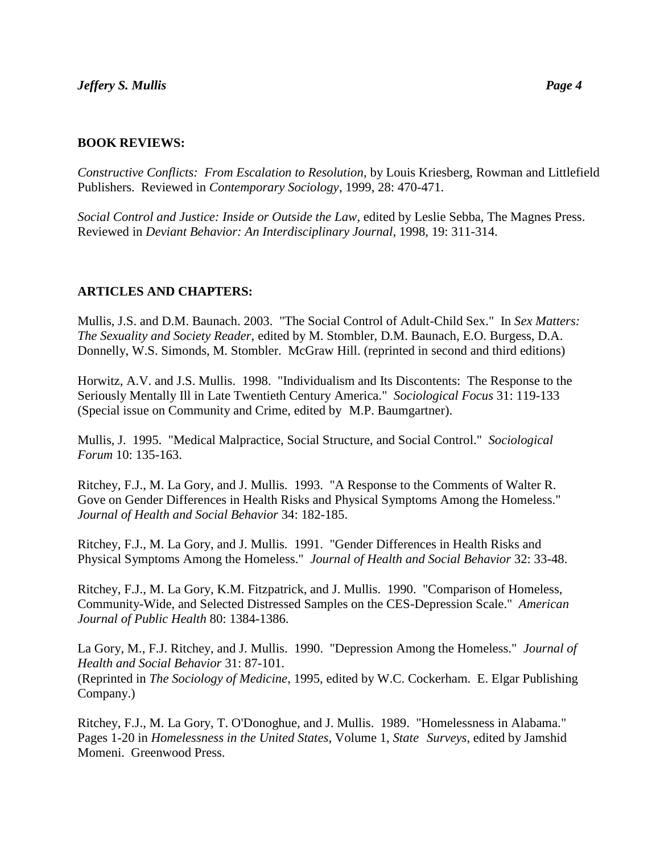#### **BOOK REVIEWS:**

*Constructive Conflicts: From Escalation to Resolution*, by Louis Kriesberg, Rowman and Littlefield Publishers. Reviewed in *Contemporary Sociology*, 1999, 28: 470-471.

*Social Control and Justice: Inside or Outside the Law*, edited by Leslie Sebba, The Magnes Press. Reviewed in *Deviant Behavior: An Interdisciplinary Journal*, 1998, 19: 311-314.

## **ARTICLES AND CHAPTERS:**

Mullis, J.S. and D.M. Baunach. 2003. "The Social Control of Adult-Child Sex." In *Sex Matters: The Sexuality and Society Reader*, edited by M. Stombler, D.M. Baunach, E.O. Burgess, D.A. Donnelly, W.S. Simonds, M. Stombler. McGraw Hill. (reprinted in second and third editions)

Horwitz, A.V. and J.S. Mullis. 1998. "Individualism and Its Discontents: The Response to the Seriously Mentally Ill in Late Twentieth Century America." *Sociological Focus* 31: 119-133 (Special issue on Community and Crime, edited by M.P. Baumgartner).

Mullis, J. 1995. "Medical Malpractice, Social Structure, and Social Control." *Sociological Forum* 10: 135-163.

Ritchey, F.J., M. La Gory, and J. Mullis. 1993. "A Response to the Comments of Walter R. Gove on Gender Differences in Health Risks and Physical Symptoms Among the Homeless." *Journal of Health and Social Behavior* 34: 182-185.

Ritchey, F.J., M. La Gory, and J. Mullis. 1991. "Gender Differences in Health Risks and Physical Symptoms Among the Homeless." *Journal of Health and Social Behavior* 32: 33-48.

Ritchey, F.J., M. La Gory, K.M. Fitzpatrick, and J. Mullis. 1990. "Comparison of Homeless, Community-Wide, and Selected Distressed Samples on the CES-Depression Scale." *American Journal of Public Health* 80: 1384-1386.

La Gory, M., F.J. Ritchey, and J. Mullis. 1990. "Depression Among the Homeless." *Journal of Health and Social Behavior* 31: 87-101. (Reprinted in *The Sociology of Medicine*, 1995, edited by W.C. Cockerham. E. Elgar Publishing Company.)

Ritchey, F.J., M. La Gory, T. O'Donoghue, and J. Mullis. 1989. "Homelessness in Alabama." Pages 1-20 in *Homelessness in the United States*, Volume 1, *State Surveys*, edited by Jamshid Momeni. Greenwood Press.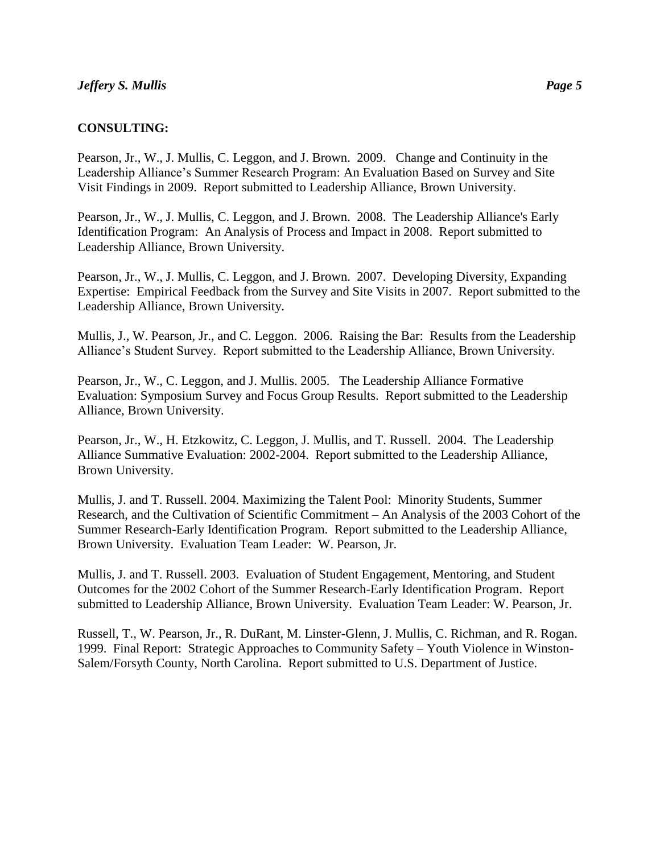## **CONSULTING:**

Pearson, Jr., W., J. Mullis, C. Leggon, and J. Brown. 2009. Change and Continuity in the Leadership Alliance's Summer Research Program: An Evaluation Based on Survey and Site Visit Findings in 2009. Report submitted to Leadership Alliance, Brown University.

Pearson, Jr., W., J. Mullis, C. Leggon, and J. Brown. 2008. The Leadership Alliance's Early Identification Program: An Analysis of Process and Impact in 2008. Report submitted to Leadership Alliance, Brown University.

Pearson, Jr., W., J. Mullis, C. Leggon, and J. Brown. 2007. Developing Diversity, Expanding Expertise: Empirical Feedback from the Survey and Site Visits in 2007. Report submitted to the Leadership Alliance, Brown University.

Mullis, J., W. Pearson, Jr., and C. Leggon. 2006. Raising the Bar: Results from the Leadership Alliance's Student Survey. Report submitted to the Leadership Alliance, Brown University.

Pearson, Jr., W., C. Leggon, and J. Mullis. 2005. The Leadership Alliance Formative Evaluation: Symposium Survey and Focus Group Results. Report submitted to the Leadership Alliance, Brown University.

Pearson, Jr., W., H. Etzkowitz, C. Leggon, J. Mullis, and T. Russell. 2004. The Leadership Alliance Summative Evaluation: 2002-2004. Report submitted to the Leadership Alliance, Brown University.

Mullis, J. and T. Russell. 2004. Maximizing the Talent Pool: Minority Students, Summer Research, and the Cultivation of Scientific Commitment – An Analysis of the 2003 Cohort of the Summer Research-Early Identification Program. Report submitted to the Leadership Alliance, Brown University. Evaluation Team Leader: W. Pearson, Jr.

Mullis, J. and T. Russell. 2003. Evaluation of Student Engagement, Mentoring, and Student Outcomes for the 2002 Cohort of the Summer Research-Early Identification Program. Report submitted to Leadership Alliance, Brown University. Evaluation Team Leader: W. Pearson, Jr.

Russell, T., W. Pearson, Jr., R. DuRant, M. Linster-Glenn, J. Mullis, C. Richman, and R. Rogan. 1999. Final Report: Strategic Approaches to Community Safety – Youth Violence in Winston-Salem/Forsyth County, North Carolina. Report submitted to U.S. Department of Justice.